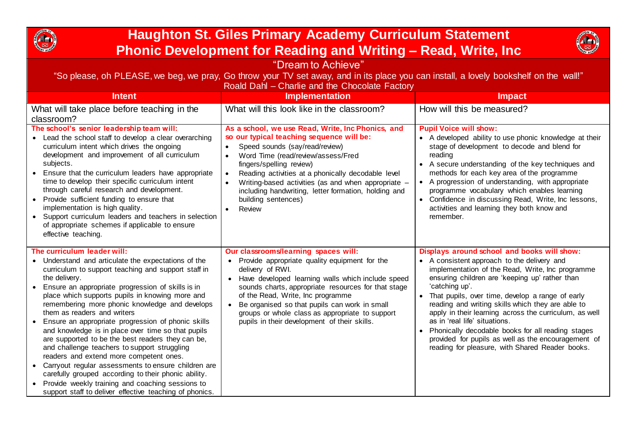

## **Haughton St. Giles Primary Academy Curriculum Statement Phonic Development for Reading and Writing – Read, Write, Inc**



| "Dream to Achieve"                                                                                                                                                                                                                                                                                                                                                                                                                                                                                                                                                                                                                                                                                                                                                                                                                            |                                                                                                                                                                                                                                                                                                                                                                                                                                            |                                                                                                                                                                                                                                                                                                                                                                                                                                                                                                                                                                                         |
|-----------------------------------------------------------------------------------------------------------------------------------------------------------------------------------------------------------------------------------------------------------------------------------------------------------------------------------------------------------------------------------------------------------------------------------------------------------------------------------------------------------------------------------------------------------------------------------------------------------------------------------------------------------------------------------------------------------------------------------------------------------------------------------------------------------------------------------------------|--------------------------------------------------------------------------------------------------------------------------------------------------------------------------------------------------------------------------------------------------------------------------------------------------------------------------------------------------------------------------------------------------------------------------------------------|-----------------------------------------------------------------------------------------------------------------------------------------------------------------------------------------------------------------------------------------------------------------------------------------------------------------------------------------------------------------------------------------------------------------------------------------------------------------------------------------------------------------------------------------------------------------------------------------|
| "So please, oh PLEASE, we beg, we pray, Go throw your TV set away, and in its place you can install, a lovely bookshelf on the wall!"<br>Roald Dahl - Charlie and the Chocolate Factory                                                                                                                                                                                                                                                                                                                                                                                                                                                                                                                                                                                                                                                       |                                                                                                                                                                                                                                                                                                                                                                                                                                            |                                                                                                                                                                                                                                                                                                                                                                                                                                                                                                                                                                                         |
| <b>Intent</b>                                                                                                                                                                                                                                                                                                                                                                                                                                                                                                                                                                                                                                                                                                                                                                                                                                 | <b>Implementation</b>                                                                                                                                                                                                                                                                                                                                                                                                                      | <b>Impact</b>                                                                                                                                                                                                                                                                                                                                                                                                                                                                                                                                                                           |
| What will take place before teaching in the<br>classroom?                                                                                                                                                                                                                                                                                                                                                                                                                                                                                                                                                                                                                                                                                                                                                                                     | What will this look like in the classroom?                                                                                                                                                                                                                                                                                                                                                                                                 | How will this be measured?                                                                                                                                                                                                                                                                                                                                                                                                                                                                                                                                                              |
| The school's senior leadership team will:<br>Lead the school staff to develop a clear overarching<br>curriculum intent which drives the ongoing<br>development and improvement of all curriculum<br>subjects.<br>Ensure that the curriculum leaders have appropriate<br>time to develop their specific curriculum intent<br>through careful research and development.<br>Provide sufficient funding to ensure that<br>implementation is high quality.<br>Support curriculum leaders and teachers in selection<br>of appropriate schemes if applicable to ensure<br>effective teaching.                                                                                                                                                                                                                                                        | As a school, we use Read, Write, Inc Phonics, and<br>so our typical teaching sequence will be:<br>Speed sounds (say/read/review)<br>Word Time (read/review/assess/Fred<br>fingers/spelling review)<br>Reading activities at a phonically decodable level<br>Writing-based activities (as and when appropriate -<br>including handwriting, letter formation, holding and<br>building sentences)<br>Review                                   | <b>Pupil Voice will show:</b><br>• A developed ability to use phonic knowledge at their<br>stage of development to decode and blend for<br>reading<br>• A secure understanding of the key techniques and<br>methods for each key area of the programme<br>• A progression of understanding, with appropriate<br>programme vocabulary which enables learning<br>• Confidence in discussing Read, Write, Inc lessons,<br>activities and learning they both know and<br>remember.                                                                                                          |
| The curriculum leader will:<br>Understand and articulate the expectations of the<br>curriculum to support teaching and support staff in<br>the delivery.<br>Ensure an appropriate progression of skills is in<br>place which supports pupils in knowing more and<br>remembering more phonic knowledge and develops<br>them as readers and writers<br>Ensure an appropriate progression of phonic skills<br>and knowledge is in place over time so that pupils<br>are supported to be the best readers they can be,<br>and challenge teachers to support struggling<br>readers and extend more competent ones.<br>• Carryout regular assessments to ensure children are<br>carefully grouped according to their phonic ability.<br>Provide weekly training and coaching sessions to<br>support staff to deliver effective teaching of phonics. | Our classrooms/learning spaces will:<br>Provide appropriate quality equipment for the<br>$\bullet$<br>delivery of RWI.<br>Have developed learning walls which include speed<br>$\bullet$<br>sounds charts, appropriate resources for that stage<br>of the Read, Write, Inc programme<br>• Be organised so that pupils can work in small<br>groups or whole class as appropriate to support<br>pupils in their development of their skills. | Displays around school and books will show:<br>• A consistent approach to the delivery and<br>implementation of the Read, Write, Inc programme<br>ensuring children are 'keeping up' rather than<br>'catching up'.<br>• That pupils, over time, develop a range of early<br>reading and writing skills which they are able to<br>apply in their learning across the curriculum, as well<br>as in 'real life' situations.<br>Phonically decodable books for all reading stages<br>provided for pupils as well as the encouragement of<br>reading for pleasure, with Shared Reader books. |